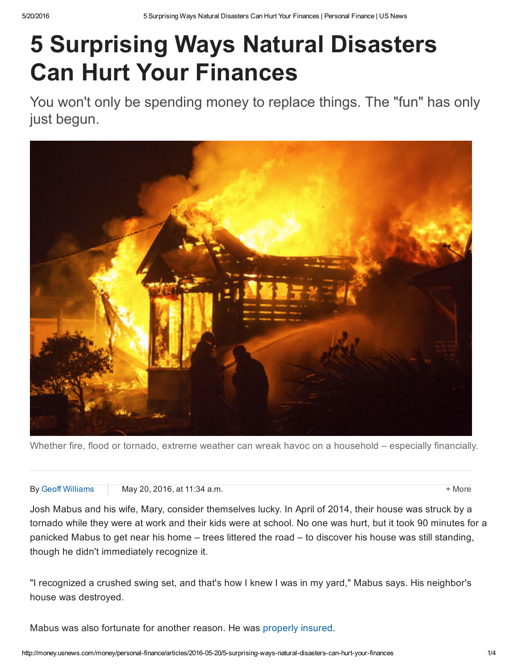# 5 Surprising Ways Natural Disasters Can Hurt Your Finances

You won't only be spending money to replace things. The "fun" has only just begun.



Whether fire, flood or tornado, extreme weather can wreak havoc on a household – especially financially.

#### By Geoff [Williams](http://www.usnews.com/topics/author/geoff_williams) May 20, 2016, at 11:34 a.m.  $\blacksquare$

Josh Mabus and his wife, Mary, consider themselves lucky. In April of 2014, their house was struck by a tornado while they were at work and their kids were at school. No one was hurt, but it took 90 minutes for a panicked Mabus to get near his home – trees littered the road – to discover his house was still standing, though he didn't immediately recognize it.

"I recognized a crushed swing set, and that's how I knew I was in my yard," Mabus says. His neighbor's house was destroyed.

Mabus was also fortunate for another reason. He was [properly](http://money.usnews.com/money/blogs/my-money/2014/02/14/4-things-to-know-when-buying-homeowners-insurance) insured.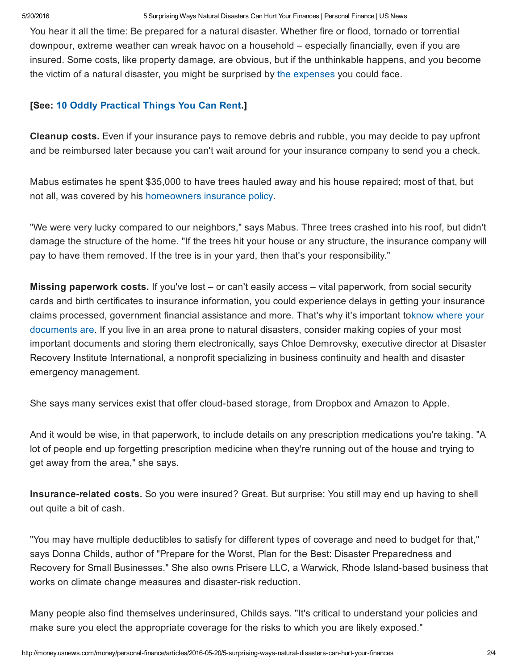5/20/2016 5 Surprising Ways Natural Disasters Can Hurt Your Finances | Personal Finance | US News

You hear it all the time: Be prepared for a natural disaster. Whether fire or flood, tornado or torrential downpour, extreme weather can wreak havoc on a household – especially financially, even if you are insured. Some costs, like property damage, are obvious, but if the unthinkable happens, and you become the victim of a natural disaster, you might be surprised by the [expenses](http://money.usnews.com/money/personal-finance/articles/2014/03/12/the-hidden-costs-of-buying-a-home) you could face.

# [See: 10 Oddly [Practical](http://money.usnews.com/money/personal-finance/slideshows/10-oddly-practical-things-you-can-rent) Things You Can Rent.]

Cleanup costs. Even if your insurance pays to remove debris and rubble, you may decide to pay upfront and be reimbursed later because you can't wait around for your insurance company to send you a check.

Mabus estimates he spent \$35,000 to have trees hauled away and his house repaired; most of that, but not all, was covered by his [homeowners](http://money.usnews.com/money/personal-finance/articles/2015/06/09/hidden-holes-in-your-homeowners-insurance-policy) insurance policy.

"We were very lucky compared to our neighbors," says Mabus. Three trees crashed into his roof, but didn't damage the structure of the home. "If the trees hit your house or any structure, the insurance company will pay to have them removed. If the tree is in your yard, then that's your responsibility."

Missing paperwork costs. If you've lost – or can't easily access – vital paperwork, from social security cards and birth certificates to insurance information, you could experience delays in getting your insurance claims processed, [government](http://money.usnews.com/money/personal-finance/articles/2014/07/23/4-ways-to-better-organize-your-bills) financial assistance and more. That's why it's important toknow where your documents are. If you live in an area prone to natural disasters, consider making copies of your most important documents and storing them electronically, says Chloe Demrovsky, executive director at Disaster Recovery Institute International, a nonprofit specializing in business continuity and health and disaster emergency management.

She says many services exist that offer cloud-based storage, from Dropbox and Amazon to Apple.

And it would be wise, in that paperwork, to include details on any prescription medications you're taking. "A lot of people end up forgetting prescription medicine when they're running out of the house and trying to get away from the area," she says.

Insurance-related costs. So you were insured? Great. But surprise: You still may end up having to shell out quite a bit of cash.

"You may have multiple deductibles to satisfy for different types of coverage and need to budget for that," says Donna Childs, author of "Prepare for the Worst, Plan for the Best: Disaster Preparedness and Recovery for Small Businesses." She also owns Prisere LLC, a Warwick, Rhode Island-based business that works on climate change measures and disaster-risk reduction.

Many people also find themselves underinsured, Childs says. "It's critical to understand your policies and make sure you elect the appropriate coverage for the risks to which you are likely exposed."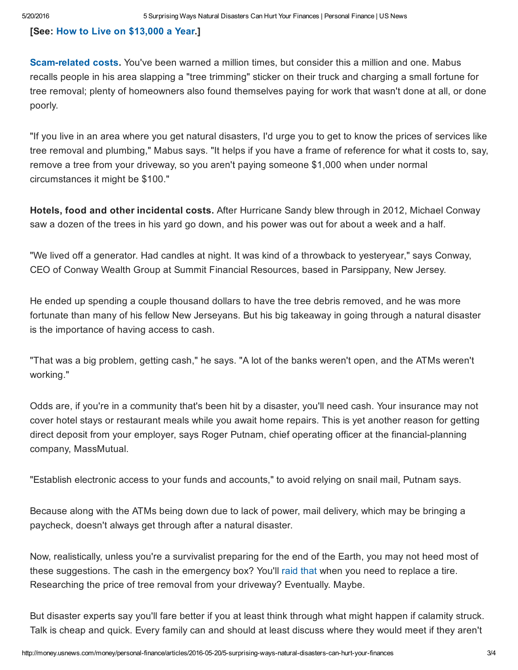### [See: How to Live on [\\$13,000](http://money.usnews.com/money/personal-finance/slideshows/how-to-live-on-13-000-a-year) a Year.]

**Scam-related costs.** You've been warned a million times, but consider this a million and one. Mabus recalls people in his area slapping a "tree trimming" sticker on their truck and charging a small fortune for tree removal; plenty of homeowners also found themselves paying for work that wasn't done at all, or done poorly.

"If you live in an area where you get natural disasters, I'd urge you to get to know the prices of services like tree removal and plumbing," Mabus says. "It helps if you have a frame of reference for what it costs to, say, remove a tree from your driveway, so you aren't paying someone \$1,000 when under normal circumstances it might be \$100."

Hotels, food and other incidental costs. After Hurricane Sandy blew through in 2012, Michael Conway saw a dozen of the trees in his yard go down, and his power was out for about a week and a half.

"We lived off a generator. Had candles at night. It was kind of a throwback to yesteryear," says Conway, CEO of Conway Wealth Group at Summit Financial Resources, based in Parsippany, New Jersey.

He ended up spending a couple thousand dollars to have the tree debris removed, and he was more fortunate than many of his fellow New Jerseyans. But his big takeaway in going through a natural disaster is the importance of having access to cash.

"That was a big problem, getting cash," he says. "A lot of the banks weren't open, and the ATMs weren't working."

Odds are, if you're in a community that's been hit by a disaster, you'll need cash. Your insurance may not cover hotel stays or restaurant meals while you await home repairs. This is yet another reason for getting direct deposit from your employer, says Roger Putnam, chief operating officer at the financial-planning company, MassMutual.

"Establish electronic access to your funds and accounts," to avoid relying on snail mail, Putnam says.

Because along with the ATMs being down due to lack of power, mail delivery, which may be bringing a paycheck, doesn't always get through after a natural disaster.

Now, realistically, unless you're a survivalist preparing for the end of the Earth, you may not heed most of these suggestions. The cash in the emergency box? You'll raid [that](http://money.usnews.com/money/personal-finance/articles/2015/04/17/5-ways-to-avoid-raiding-your-emergency-fund) when you need to replace a tire. Researching the price of tree removal from your driveway? Eventually. Maybe.

But disaster experts say you'll fare better if you at least think through what might happen if calamity struck. Talk is cheap and quick. Every family can and should at least discuss where they would meet if they aren't